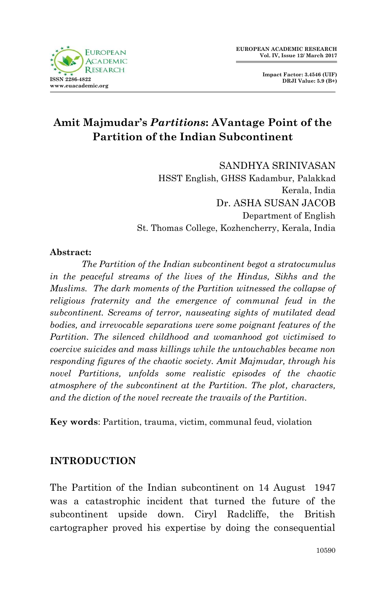

**Impact Factor: 3.4546 (UIF) DRJI Value: 5.9 (B+)**

# **Amit Majmudar's** *Partitions***: AVantage Point of the Partition of the Indian Subcontinent**

SANDHYA SRINIVASAN HSST English, GHSS Kadambur, Palakkad Kerala, India Dr. ASHA SUSAN JACOB Department of English St. Thomas College, Kozhencherry, Kerala, India

#### **Abstract:**

*The Partition of the Indian subcontinent begot a stratocumulus in the peaceful streams of the lives of the Hindus, Sikhs and the Muslims. The dark moments of the Partition witnessed the collapse of religious fraternity and the emergence of communal feud in the subcontinent. Screams of terror, nauseating sights of mutilated dead bodies, and irrevocable separations were some poignant features of the Partition. The silenced childhood and womanhood got victimised to coercive suicides and mass killings while the untouchables became non responding figures of the chaotic society. Amit Majmudar, through his novel Partitions, unfolds some realistic episodes of the chaotic atmosphere of the subcontinent at the Partition. The plot, characters, and the diction of the novel recreate the travails of the Partition.*

**Key words**: Partition, trauma, victim, communal feud, violation

#### **INTRODUCTION**

The Partition of the Indian subcontinent on 14 August 1947 was a catastrophic incident that turned the future of the subcontinent upside down. Ciryl Radcliffe, the British cartographer proved his expertise by doing the consequential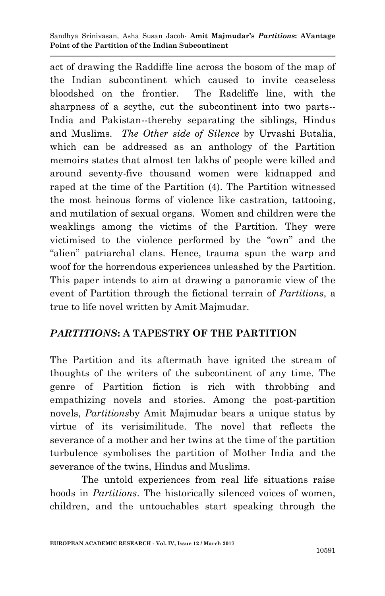Sandhya Srinivasan, Asha Susan Jacob*-* **Amit Majmudar's** *Partitions***: AVantage Point of the Partition of the Indian Subcontinent**

act of drawing the Raddiffe line across the bosom of the map of the Indian subcontinent which caused to invite ceaseless bloodshed on the frontier. The Radcliffe line, with the sharpness of a scythe, cut the subcontinent into two parts-- India and Pakistan--thereby separating the siblings, Hindus and Muslims. *The Other side of Silence* by Urvashi Butalia, which can be addressed as an anthology of the Partition memoirs states that almost ten lakhs of people were killed and around seventy-five thousand women were kidnapped and raped at the time of the Partition (4). The Partition witnessed the most heinous forms of violence like castration, tattooing, and mutilation of sexual organs. Women and children were the weaklings among the victims of the Partition. They were victimised to the violence performed by the "own" and the "alien" patriarchal clans. Hence, trauma spun the warp and woof for the horrendous experiences unleashed by the Partition. This paper intends to aim at drawing a panoramic view of the event of Partition through the fictional terrain of *Partitions*, a true to life novel written by Amit Majmudar.

## *PARTITIONS***: A TAPESTRY OF THE PARTITION**

The Partition and its aftermath have ignited the stream of thoughts of the writers of the subcontinent of any time. The genre of Partition fiction is rich with throbbing and empathizing novels and stories. Among the post-partition novels, *Partitions*by Amit Majmudar bears a unique status by virtue of its verisimilitude. The novel that reflects the severance of a mother and her twins at the time of the partition turbulence symbolises the partition of Mother India and the severance of the twins, Hindus and Muslims.

The untold experiences from real life situations raise hoods in *Partitions*. The historically silenced voices of women, children, and the untouchables start speaking through the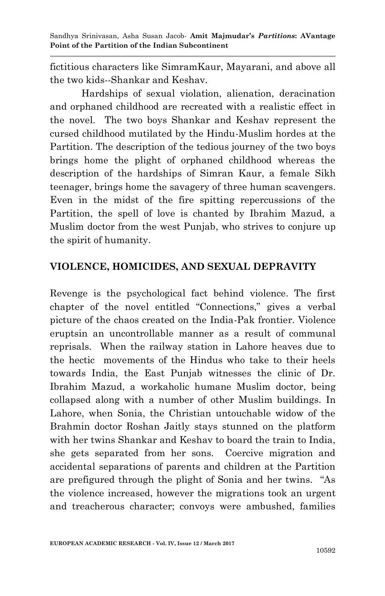Sandhya Srinivasan, Asha Susan Jacob*-* **Amit Majmudar's** *Partitions***: AVantage Point of the Partition of the Indian Subcontinent**

fictitious characters like SimramKaur, Mayarani, and above all the two kids--Shankar and Keshav.

Hardships of sexual violation, alienation, deracination and orphaned childhood are recreated with a realistic effect in the novel. The two boys Shankar and Keshav represent the cursed childhood mutilated by the Hindu-Muslim hordes at the Partition. The description of the tedious journey of the two boys brings home the plight of orphaned childhood whereas the description of the hardships of Simran Kaur, a female Sikh teenager, brings home the savagery of three human scavengers. Even in the midst of the fire spitting repercussions of the Partition, the spell of love is chanted by Ibrahim Mazud, a Muslim doctor from the west Punjab, who strives to conjure up the spirit of humanity.

#### **VIOLENCE, HOMICIDES, AND SEXUAL DEPRAVITY**

Revenge is the psychological fact behind violence. The first chapter of the novel entitled "Connections," gives a verbal picture of the chaos created on the India-Pak frontier. Violence eruptsin an uncontrollable manner as a result of communal reprisals. When the railway station in Lahore heaves due to the hectic movements of the Hindus who take to their heels towards India, the East Punjab witnesses the clinic of Dr. Ibrahim Mazud, a workaholic humane Muslim doctor, being collapsed along with a number of other Muslim buildings. In Lahore, when Sonia, the Christian untouchable widow of the Brahmin doctor Roshan Jaitly stays stunned on the platform with her twins Shankar and Keshav to board the train to India, she gets separated from her sons. Coercive migration and accidental separations of parents and children at the Partition are prefigured through the plight of Sonia and her twins. "As the violence increased, however the migrations took an urgent and treacherous character; convoys were ambushed, families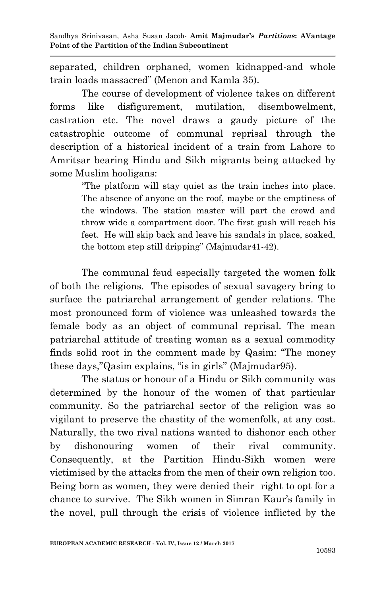separated, children orphaned, women kidnapped-and whole train loads massacred" (Menon and Kamla 35).

The course of development of violence takes on different forms like disfigurement, mutilation, disembowelment, castration etc. The novel draws a gaudy picture of the catastrophic outcome of communal reprisal through the description of a historical incident of a train from Lahore to Amritsar bearing Hindu and Sikh migrants being attacked by some Muslim hooligans:

> "The platform will stay quiet as the train inches into place. The absence of anyone on the roof, maybe or the emptiness of the windows. The station master will part the crowd and throw wide a compartment door. The first gush will reach his feet. He will skip back and leave his sandals in place, soaked, the bottom step still dripping" (Majmudar41-42).

The communal feud especially targeted the women folk of both the religions. The episodes of sexual savagery bring to surface the patriarchal arrangement of gender relations. The most pronounced form of violence was unleashed towards the female body as an object of communal reprisal. The mean patriarchal attitude of treating woman as a sexual commodity finds solid root in the comment made by Qasim: "The money these days,"Qasim explains, "is in girls'' (Majmudar95).

The status or honour of a Hindu or Sikh community was determined by the honour of the women of that particular community. So the patriarchal sector of the religion was so vigilant to preserve the chastity of the womenfolk, at any cost. Naturally, the two rival nations wanted to dishonor each other by dishonouring women of their rival community. Consequently, at the Partition Hindu-Sikh women were victimised by the attacks from the men of their own religion too. Being born as women, they were denied their right to opt for a chance to survive. The Sikh women in Simran Kaur's family in the novel, pull through the crisis of violence inflicted by the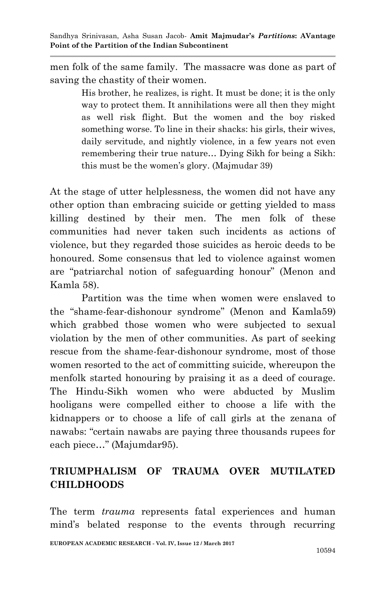men folk of the same family. The massacre was done as part of saving the chastity of their women.

> His brother, he realizes, is right. It must be done; it is the only way to protect them. It annihilations were all then they might as well risk flight. But the women and the boy risked something worse. To line in their shacks: his girls, their wives, daily servitude, and nightly violence, in a few years not even remembering their true nature… Dying Sikh for being a Sikh: this must be the women's glory. (Majmudar 39)

At the stage of utter helplessness, the women did not have any other option than embracing suicide or getting yielded to mass killing destined by their men. The men folk of these communities had never taken such incidents as actions of violence, but they regarded those suicides as heroic deeds to be honoured. Some consensus that led to violence against women are "patriarchal notion of safeguarding honour" (Menon and Kamla 58).

Partition was the time when women were enslaved to the "shame-fear-dishonour syndrome" (Menon and Kamla59) which grabbed those women who were subjected to sexual violation by the men of other communities. As part of seeking rescue from the shame-fear-dishonour syndrome, most of those women resorted to the act of committing suicide, whereupon the menfolk started honouring by praising it as a deed of courage. The Hindu-Sikh women who were abducted by Muslim hooligans were compelled either to choose a life with the kidnappers or to choose a life of call girls at the zenana of nawabs: "certain nawabs are paying three thousands rupees for each piece…" (Majumdar95).

## **TRIUMPHALISM OF TRAUMA OVER MUTILATED CHILDHOODS**

The term *trauma* represents fatal experiences and human mind's belated response to the events through recurring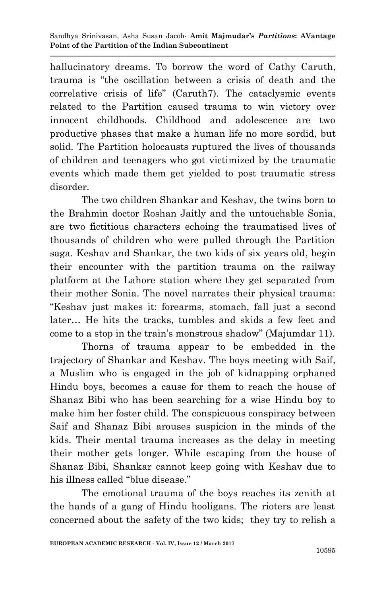hallucinatory dreams. To borrow the word of Cathy Caruth, trauma is "the oscillation between a crisis of death and the correlative crisis of life" (Caruth7). The cataclysmic events related to the Partition caused trauma to win victory over innocent childhoods. Childhood and adolescence are two productive phases that make a human life no more sordid, but solid. The Partition holocausts ruptured the lives of thousands of children and teenagers who got victimized by the traumatic events which made them get yielded to post traumatic stress disorder.

The two children Shankar and Keshav, the twins born to the Brahmin doctor Roshan Jaitly and the untouchable Sonia, are two fictitious characters echoing the traumatised lives of thousands of children who were pulled through the Partition saga. Keshav and Shankar, the two kids of six years old, begin their encounter with the partition trauma on the railway platform at the Lahore station where they get separated from their mother Sonia. The novel narrates their physical trauma: "Keshav just makes it: forearms, stomach, fall just a second later… He hits the tracks, tumbles and skids a few feet and come to a stop in the train's monstrous shadow" (Majumdar 11).

Thorns of trauma appear to be embedded in the trajectory of Shankar and Keshav. The boys meeting with Saif, a Muslim who is engaged in the job of kidnapping orphaned Hindu boys, becomes a cause for them to reach the house of Shanaz Bibi who has been searching for a wise Hindu boy to make him her foster child. The conspicuous conspiracy between Saif and Shanaz Bibi arouses suspicion in the minds of the kids. Their mental trauma increases as the delay in meeting their mother gets longer. While escaping from the house of Shanaz Bibi, Shankar cannot keep going with Keshav due to his illness called "blue disease."

The emotional trauma of the boys reaches its zenith at the hands of a gang of Hindu hooligans. The rioters are least concerned about the safety of the two kids; they try to relish a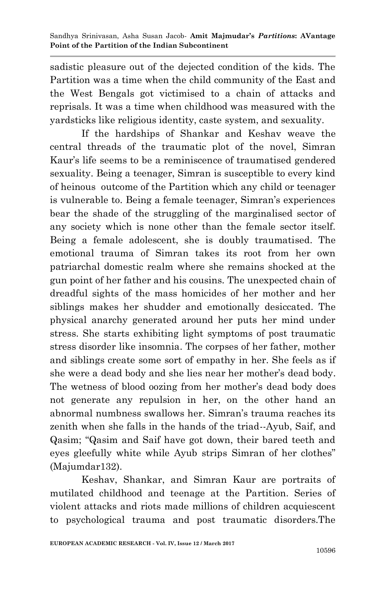sadistic pleasure out of the dejected condition of the kids. The Partition was a time when the child community of the East and the West Bengals got victimised to a chain of attacks and reprisals. It was a time when childhood was measured with the yardsticks like religious identity, caste system, and sexuality.

If the hardships of Shankar and Keshav weave the central threads of the traumatic plot of the novel, Simran Kaur's life seems to be a reminiscence of traumatised gendered sexuality. Being a teenager, Simran is susceptible to every kind of heinous outcome of the Partition which any child or teenager is vulnerable to. Being a female teenager, Simran's experiences bear the shade of the struggling of the marginalised sector of any society which is none other than the female sector itself. Being a female adolescent, she is doubly traumatised. The emotional trauma of Simran takes its root from her own patriarchal domestic realm where she remains shocked at the gun point of her father and his cousins. The unexpected chain of dreadful sights of the mass homicides of her mother and her siblings makes her shudder and emotionally desiccated. The physical anarchy generated around her puts her mind under stress. She starts exhibiting light symptoms of post traumatic stress disorder like insomnia. The corpses of her father, mother and siblings create some sort of empathy in her. She feels as if she were a dead body and she lies near her mother's dead body. The wetness of blood oozing from her mother's dead body does not generate any repulsion in her, on the other hand an abnormal numbness swallows her. Simran's trauma reaches its zenith when she falls in the hands of the triad--Ayub, Saif, and Qasim; "Qasim and Saif have got down, their bared teeth and eyes gleefully white while Ayub strips Simran of her clothes" (Majumdar132).

Keshav, Shankar, and Simran Kaur are portraits of mutilated childhood and teenage at the Partition. Series of violent attacks and riots made millions of children acquiescent to psychological trauma and post traumatic disorders.The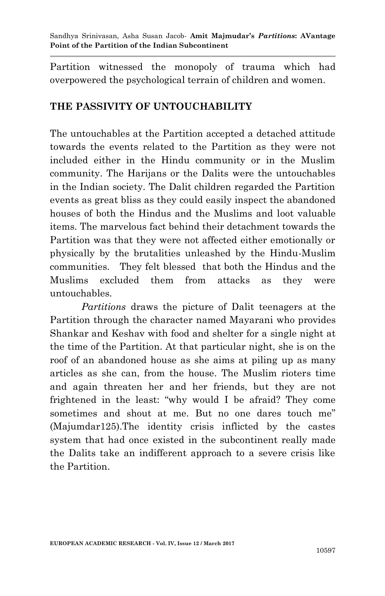Partition witnessed the monopoly of trauma which had overpowered the psychological terrain of children and women.

## **THE PASSIVITY OF UNTOUCHABILITY**

The untouchables at the Partition accepted a detached attitude towards the events related to the Partition as they were not included either in the Hindu community or in the Muslim community. The Harijans or the Dalits were the untouchables in the Indian society. The Dalit children regarded the Partition events as great bliss as they could easily inspect the abandoned houses of both the Hindus and the Muslims and loot valuable items. The marvelous fact behind their detachment towards the Partition was that they were not affected either emotionally or physically by the brutalities unleashed by the Hindu-Muslim communities. They felt blessed that both the Hindus and the Muslims excluded them from attacks as they were untouchables.

*Partitions* draws the picture of Dalit teenagers at the Partition through the character named Mayarani who provides Shankar and Keshav with food and shelter for a single night at the time of the Partition. At that particular night, she is on the roof of an abandoned house as she aims at piling up as many articles as she can, from the house. The Muslim rioters time and again threaten her and her friends, but they are not frightened in the least: "why would I be afraid? They come sometimes and shout at me. But no one dares touch me" (Majumdar125).The identity crisis inflicted by the castes system that had once existed in the subcontinent really made the Dalits take an indifferent approach to a severe crisis like the Partition.